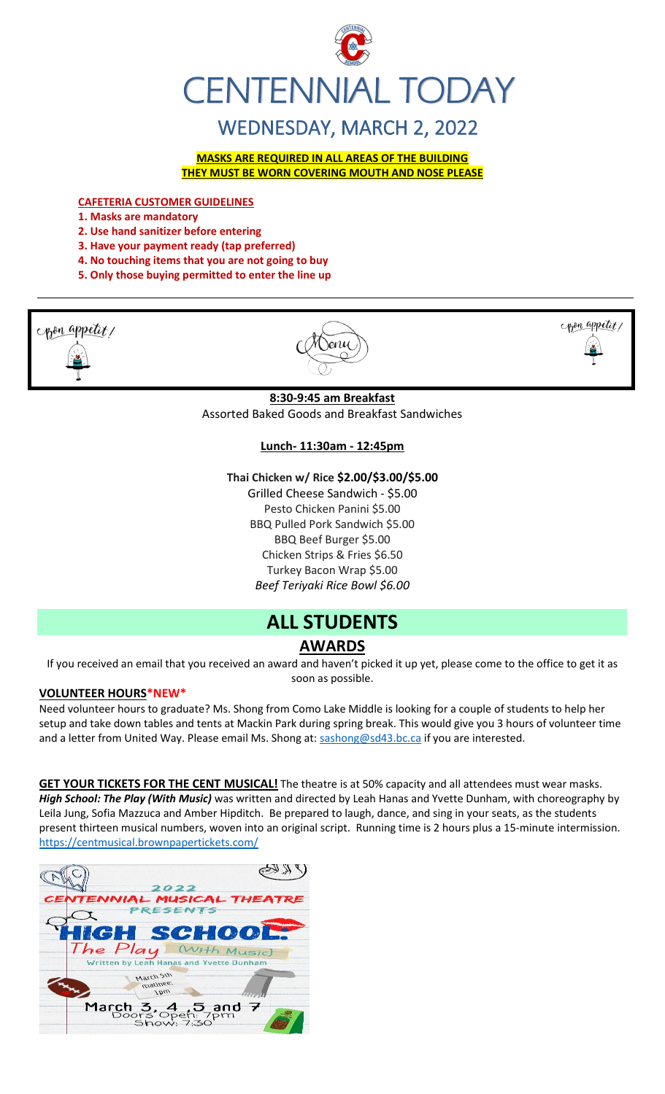

## WEDNESDAY, MARCH 2, 2022

**MASKS ARE REQUIRED IN ALL AREAS OF THE BUILDING THEY MUST BE WORN COVERING MOUTH AND NOSE PLEASE**

**CAFETERIA CUSTOMER GUIDELINES**

- **1. Masks are mandatory**
- **2. Use hand sanitizer before entering**
- **3. Have your payment ready (tap preferred)**
- **4. No touching items that you are not going to buy**
- **5. Only those buying permitted to enter the line up**







**8:30-9:45 am Breakfast** Assorted Baked Goods and Breakfast Sandwiches

#### **Lunch- 11:30am - 12:45pm**

#### **Thai Chicken w/ Rice \$2.00/\$3.00/\$5.00**

Grilled Cheese Sandwich - \$5.00 Pesto Chicken Panini \$5.00 BBQ Pulled Pork Sandwich \$5.00 BBQ Beef Burger \$5.00 Chicken Strips & Fries \$6.50 Turkey Bacon Wrap \$5.00 *Beef Teriyaki Rice Bowl \$6.00*

## **ALL STUDENTS**

### **AWARDS**

If you received an email that you received an award and haven't picked it up yet, please come to the office to get it as soon as possible.

#### **VOLUNTEER HOURS\*NEW\***

Need volunteer hours to graduate? Ms. Shong from Como Lake Middle is looking for a couple of students to help her setup and take down tables and tents at Mackin Park during spring break. This would give you 3 hours of volunteer time and a letter from United Way. Please email Ms. Shong at: [sashong@sd43.bc.ca](mailto:sashong@sd43.bc.ca) if you are interested.

**GET YOUR TICKETS FOR THE CENT MUSICAL!** The theatre is at 50% capacity and all attendees must wear masks. *High School: The Play (With Music)* was written and directed by Leah Hanas and Yvette Dunham, with choreography by Leila Jung, Sofia Mazzuca and Amber Hipditch. Be prepared to laugh, dance, and sing in your seats, as the students present thirteen musical numbers, woven into an original script. Running time is 2 hours plus a 15-minute intermission. <https://centmusical.brownpapertickets.com/>

| 2022                                                 |  |
|------------------------------------------------------|--|
| CENTENNIAL MUSICAL THEATRE                           |  |
| <b>PRESENTS</b>                                      |  |
| <b>HIGH SCHOOL:</b>                                  |  |
| The Play With Music)                                 |  |
| Written by Leah Hanas and Yvette Dunham              |  |
| March Sth<br>matinee:<br><b>Jbw</b>                  |  |
| March 3, 4, 5 and 7<br>Doors Open: 7pm<br>Show: 7:30 |  |
|                                                      |  |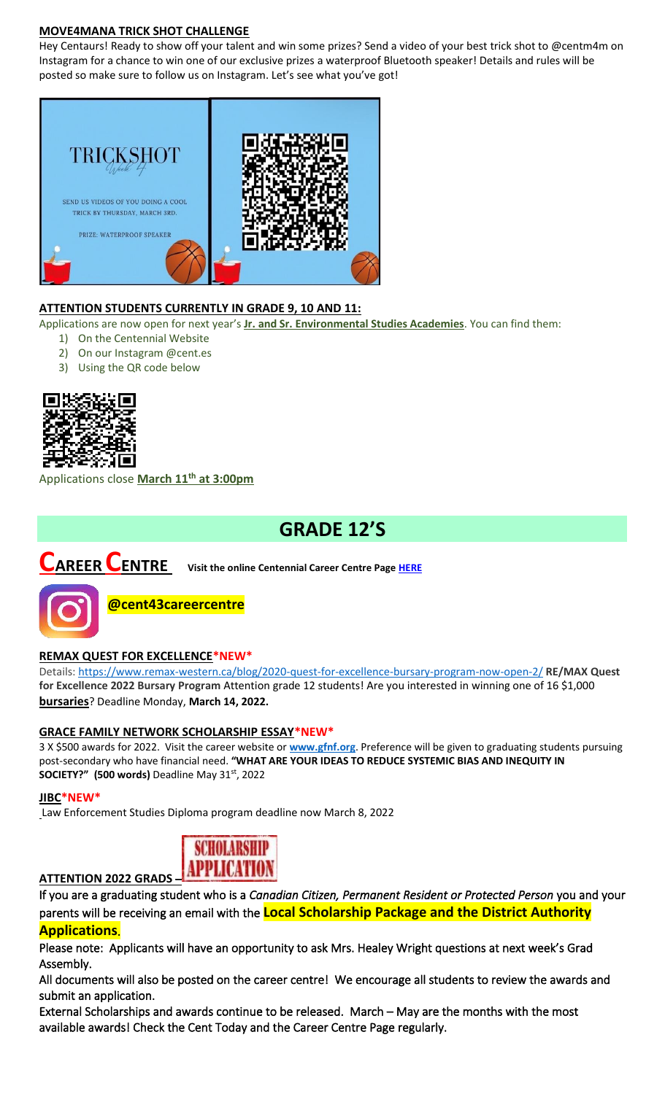#### **MOVE4MANA TRICK SHOT CHALLENGE**

Hey Centaurs! Ready to show off your talent and win some prizes? Send a video of your best trick shot to @centm4m on Instagram for a chance to win one of our exclusive prizes a waterproof Bluetooth speaker! Details and rules will be posted so make sure to follow us on Instagram. Let's see what you've got!



#### **ATTENTION STUDENTS CURRENTLY IN GRADE 9, 10 AND 11:**

Applications are now open for next year's **Jr. and Sr. Environmental Studies Academies**. You can find them:

- 1) On the Centennial Website
- 2) On our Instagram @cent.es
- 3) Using the QR code below



Applications close **March 11th at 3:00pm**

## **GRADE 12'S**

# **CAREER CENTRE Visit the online Centennial Career Centre Page [HERE](https://www.sd43.bc.ca/school/centennial/ProgramsServices/CareerCentre/experiences/Pages/default.aspx#/=)**



**@cent43careercentre** 

#### **REMAX QUEST FOR EXCELLENCE\*NEW\***

Details:<https://www.remax-western.ca/blog/2020-quest-for-excellence-bursary-program-now-open-2/> **RE/MAX Quest for Excellence 2022 Bursary Program** Attention grade 12 students! Are you interested in winning one of 16 \$1,000 **bursaries**? Deadline Monday, **March 14, 2022.** 

#### **GRACE FAMILY NETWORK SCHOLARSHIP ESSAY\*NEW\***

3 X \$500 awards for 2022. Visit the career website or **[www.gfnf.org](http://www.gfnf.org/)**. Preference will be given to graduating students pursuing post-secondary who have financial need. **"WHAT ARE YOUR IDEAS TO REDUCE SYSTEMIC BIAS AND INEQUITY IN SOCIETY?" (500 words)** Deadline May 31st, 2022

#### **JIBC\*NEW\***

Law Enforcement Studies Diploma program deadline now March 8, 2022



If you are a graduating student who is a *Canadian Citizen, Permanent Resident or Protected Person* you and your parents will be receiving an email with the **Local Scholarship Package and the District Authority Applications**.

Please note: Applicants will have an opportunity to ask Mrs. Healey Wright questions at next week's Grad Assembly.

All documents will also be posted on the career centre! We encourage all students to review the awards and submit an application.

External Scholarships and awards continue to be released. March – May are the months with the most available awards! Check the Cent Today and the Career Centre Page regularly.